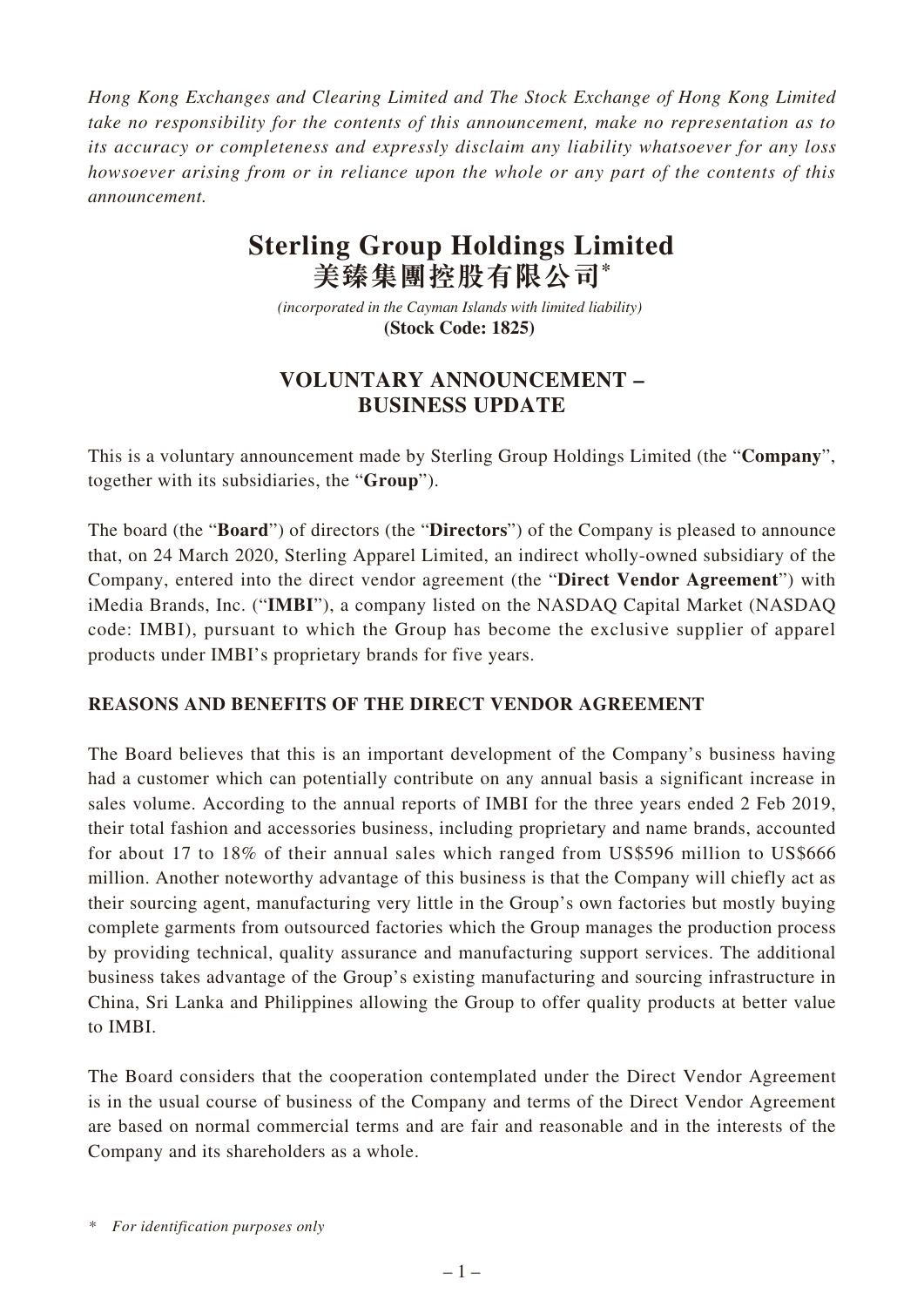*Hong Kong Exchanges and Clearing Limited and The Stock Exchange of Hong Kong Limited take no responsibility for the contents of this announcement, make no representation as to its accuracy or completeness and expressly disclaim any liability whatsoever for any loss howsoever arising from or in reliance upon the whole or any part of the contents of this announcement.*

# **Sterling Group Holdings Limited 美臻集團控股有限公司\***

*(incorporated in the Cayman Islands with limited liability)*  **(Stock Code: 1825)** 

## **VOLUNTARY ANNOUNCEMENT – BUSINESS UPDATE**

This is a voluntary announcement made by Sterling Group Holdings Limited (the "**Company**", together with its subsidiaries, the "**Group**").

The board (the "**Board**") of directors (the "**Directors**") of the Company is pleased to announce that, on 24 March 2020, Sterling Apparel Limited, an indirect wholly-owned subsidiary of the Company, entered into the direct vendor agreement (the "**Direct Vendor Agreement**") with iMedia Brands, Inc. ("**IMBI**"), a company listed on the NASDAQ Capital Market (NASDAQ code: IMBI), pursuant to which the Group has become the exclusive supplier of apparel products under IMBI's proprietary brands for five years.

### **REASONS AND BENEFITS OF THE DIRECT VENDOR AGREEMENT**

The Board believes that this is an important development of the Company's business having had a customer which can potentially contribute on any annual basis a significant increase in sales volume. According to the annual reports of IMBI for the three years ended 2 Feb 2019, their total fashion and accessories business, including proprietary and name brands, accounted for about 17 to 18% of their annual sales which ranged from US\$596 million to US\$666 million. Another noteworthy advantage of this business is that the Company will chiefly act as their sourcing agent, manufacturing very little in the Group's own factories but mostly buying complete garments from outsourced factories which the Group manages the production process by providing technical, quality assurance and manufacturing support services. The additional business takes advantage of the Group's existing manufacturing and sourcing infrastructure in China, Sri Lanka and Philippines allowing the Group to offer quality products at better value to IMBI.

The Board considers that the cooperation contemplated under the Direct Vendor Agreement is in the usual course of business of the Company and terms of the Direct Vendor Agreement are based on normal commercial terms and are fair and reasonable and in the interests of the Company and its shareholders as a whole.

*\* For identification purposes only*